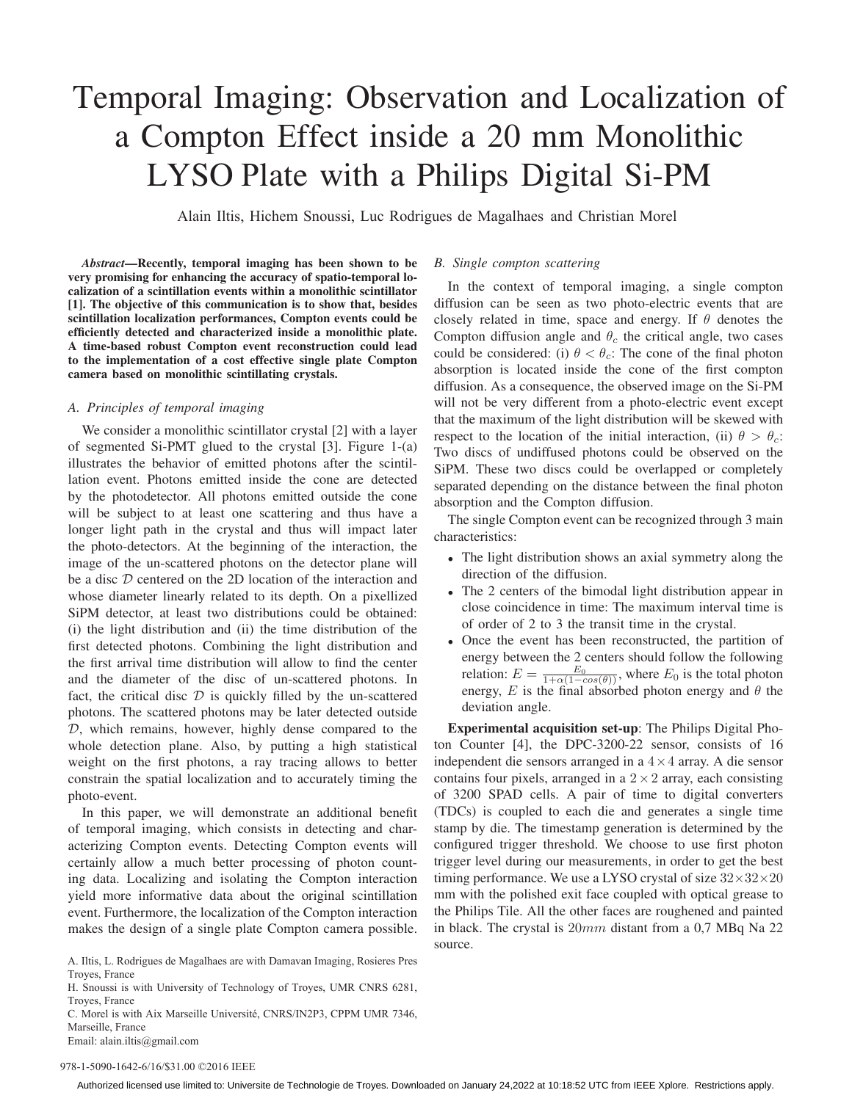# Temporal Imaging: Observation and Localization of a Compton Effect inside a 20 mm Monolithic LYSO Plate with a Philips Digital Si-PM

Alain Iltis, Hichem Snoussi, Luc Rodrigues de Magalhaes and Christian Morel

*Abstract*—Recently, temporal imaging has been shown to be very promising for enhancing the accuracy of spatio-temporal localization of a scintillation events within a monolithic scintillator [1]. The objective of this communication is to show that, besides scintillation localization performances, Compton events could be efficiently detected and characterized inside a monolithic plate. A time-based robust Compton event reconstruction could lead to the implementation of a cost effective single plate Compton camera based on monolithic scintillating crystals.

# *A. Principles of temporal imaging*

We consider a monolithic scintillator crystal [2] with a layer of segmented Si-PMT glued to the crystal [3]. Figure 1-(a) illustrates the behavior of emitted photons after the scintillation event. Photons emitted inside the cone are detected by the photodetector. All photons emitted outside the cone will be subject to at least one scattering and thus have a longer light path in the crystal and thus will impact later the photo-detectors. At the beginning of the interaction, the image of the un-scattered photons on the detector plane will be a disc  $D$  centered on the 2D location of the interaction and whose diameter linearly related to its depth. On a pixellized SiPM detector, at least two distributions could be obtained: (i) the light distribution and (ii) the time distribution of the first detected photons. Combining the light distribution and the first arrival time distribution will allow to find the center and the diameter of the disc of un-scattered photons. In fact, the critical disc  $D$  is quickly filled by the un-scattered photons. The scattered photons may be later detected outside D, which remains, however, highly dense compared to the whole detection plane. Also, by putting a high statistical weight on the first photons, a ray tracing allows to better constrain the spatial localization and to accurately timing the photo-event.

In this paper, we will demonstrate an additional benefit of temporal imaging, which consists in detecting and characterizing Compton events. Detecting Compton events will certainly allow a much better processing of photon counting data. Localizing and isolating the Compton interaction yield more informative data about the original scintillation event. Furthermore, the localization of the Compton interaction makes the design of a single plate Compton camera possible.

- A. Iltis, L. Rodrigues de Magalhaes are with Damavan Imaging, Rosieres Pres Troves, France
- H. Snoussi is with University of Technology of Troyes, UMR CNRS 6281, Troyes, France

C. Morel is with Aix Marseille Université, CNRS/IN2P3, CPPM UMR 7346, Marseille, France

# Email: alain.iltis@gmail.com

#### *B. Single compton scattering*

In the context of temporal imaging, a single compton diffusion can be seen as two photo-electric events that are closely related in time, space and energy. If  $\theta$  denotes the Compton diffusion angle and  $\theta_c$  the critical angle, two cases could be considered: (i)  $\theta < \theta_c$ : The cone of the final photon absorption is located inside the cone of the first compton diffusion. As a consequence, the observed image on the Si-PM will not be very different from a photo-electric event except that the maximum of the light distribution will be skewed with respect to the location of the initial interaction, (ii)  $\theta > \theta_c$ : Two discs of undiffused photons could be observed on the SiPM. These two discs could be overlapped or completely separated depending on the distance between the final photon absorption and the Compton diffusion.

The single Compton event can be recognized through 3 main characteristics:

- The light distribution shows an axial symmetry along the direction of the diffusion.
- The 2 centers of the bimodal light distribution appear in close coincidence in time: The maximum interval time is of order of 2 to 3 the transit time in the crystal.
- Once the event has been reconstructed, the partition of energy between the 2 centers should follow the following relation:  $E = \frac{E_0}{1 + \alpha(1 - \cos(\theta))}$ , where  $E_0$  is the total photon energy, E is the final absorbed photon energy and  $\theta$  the deviation angle.

Experimental acquisition set-up: The Philips Digital Photon Counter [4], the DPC-3200-22 sensor, consists of 16 independent die sensors arranged in a  $4 \times 4$  array. A die sensor contains four pixels, arranged in a  $2 \times 2$  array, each consisting of 3200 SPAD cells. A pair of time to digital converters (TDCs) is coupled to each die and generates a single time stamp by die. The timestamp generation is determined by the configured trigger threshold. We choose to use first photon trigger level during our measurements, in order to get the best timing performance. We use a LYSO crystal of size  $32 \times 32 \times 20$ mm with the polished exit face coupled with optical grease to the Philips Tile. All the other faces are roughened and painted in black. The crystal is 20mm distant from a 0,7 MBq Na 22 source.

#### 978-1-5090-1642-6/16/\$31.00 ©2016 IEEE